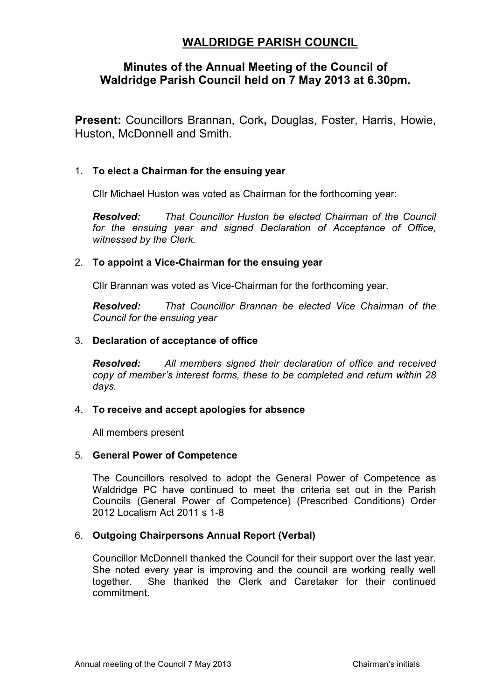# **WALDRIDGE PARISH COUNCIL**

## **Minutes of the Annual Meeting of the Council of Waldridge Parish Council held on 7 May 2013 at 6.30pm.**

**Present:** Councillors Brannan, Cork**,** Douglas, Foster, Harris, Howie, Huston, McDonnell and Smith.

## 1. **To elect a Chairman for the ensuing year**

Cllr Michael Huston was voted as Chairman for the forthcoming year:

*Resolved: That Councillor Huston be elected Chairman of the Council for the ensuing year and signed Declaration of Acceptance of Office, witnessed by the Clerk.* 

## 2. **To appoint a Vice-Chairman for the ensuing year**

Cllr Brannan was voted as Vice-Chairman for the forthcoming year.

*Resolved: That Councillor Brannan be elected Vice Chairman of the Council for the ensuing year* 

## 3. **Declaration of acceptance of office**

*Resolved: All members signed their declaration of office and received copy of member's interest forms, these to be completed and return within 28 days.* 

#### 4. **To receive and accept apologies for absence**

All members present

#### 5. **General Power of Competence**

The Councillors resolved to adopt the General Power of Competence as Waldridge PC have continued to meet the criteria set out in the Parish Councils (General Power of Competence) (Prescribed Conditions) Order 2012 Localism Act 2011 s 1-8

## 6. **Outgoing Chairpersons Annual Report (Verbal)**

Councillor McDonnell thanked the Council for their support over the last year. She noted every year is improving and the council are working really well together. She thanked the Clerk and Caretaker for their continued commitment.